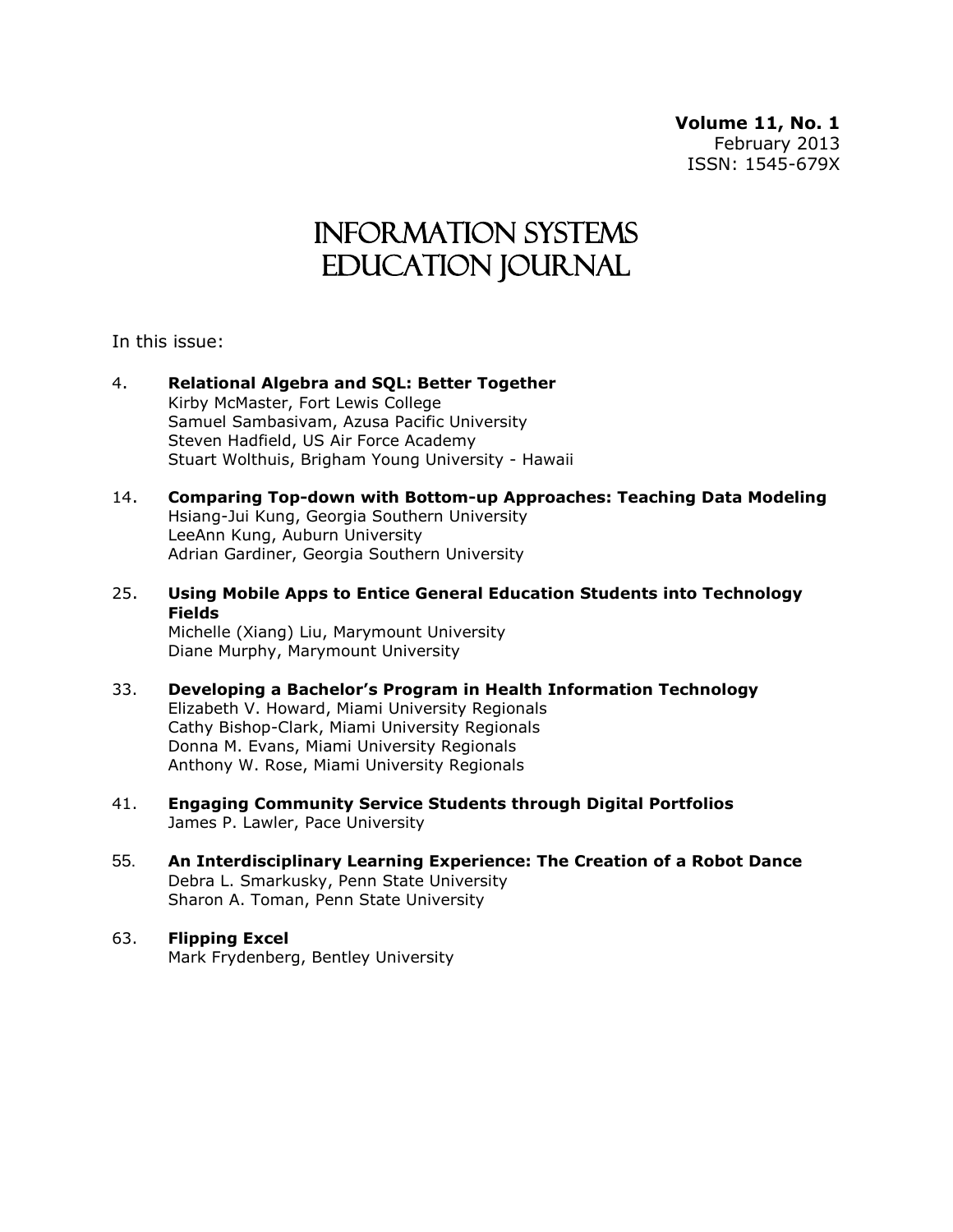**Volume 11, No. 1** February 2013 ISSN: 1545-679X

# Information Systems Education Journal

In this issue:

- 4. **Relational Algebra and SQL: Better Together** Kirby McMaster, Fort Lewis College Samuel Sambasivam, Azusa Pacific University Steven Hadfield, US Air Force Academy Stuart Wolthuis, Brigham Young University - Hawaii
- 14. **Comparing Top-down with Bottom-up Approaches: Teaching Data Modeling** Hsiang-Jui Kung, Georgia Southern University LeeAnn Kung, Auburn University Adrian Gardiner, Georgia Southern University
- 25. **Using Mobile Apps to Entice General Education Students into Technology Fields** Michelle (Xiang) Liu, Marymount University Diane Murphy, Marymount University
- 33. **Developing a Bachelor's Program in Health Information Technology** Elizabeth V. Howard, Miami University Regionals Cathy Bishop-Clark, Miami University Regionals Donna M. Evans, Miami University Regionals Anthony W. Rose, Miami University Regionals
- 41. **Engaging Community Service Students through Digital Portfolios**  James P. Lawler, Pace University
- 55. **An Interdisciplinary Learning Experience: The Creation of a Robot Dance** Debra L. Smarkusky, Penn State University Sharon A. Toman, Penn State University
- 63. **Flipping Excel** Mark Frydenberg, Bentley University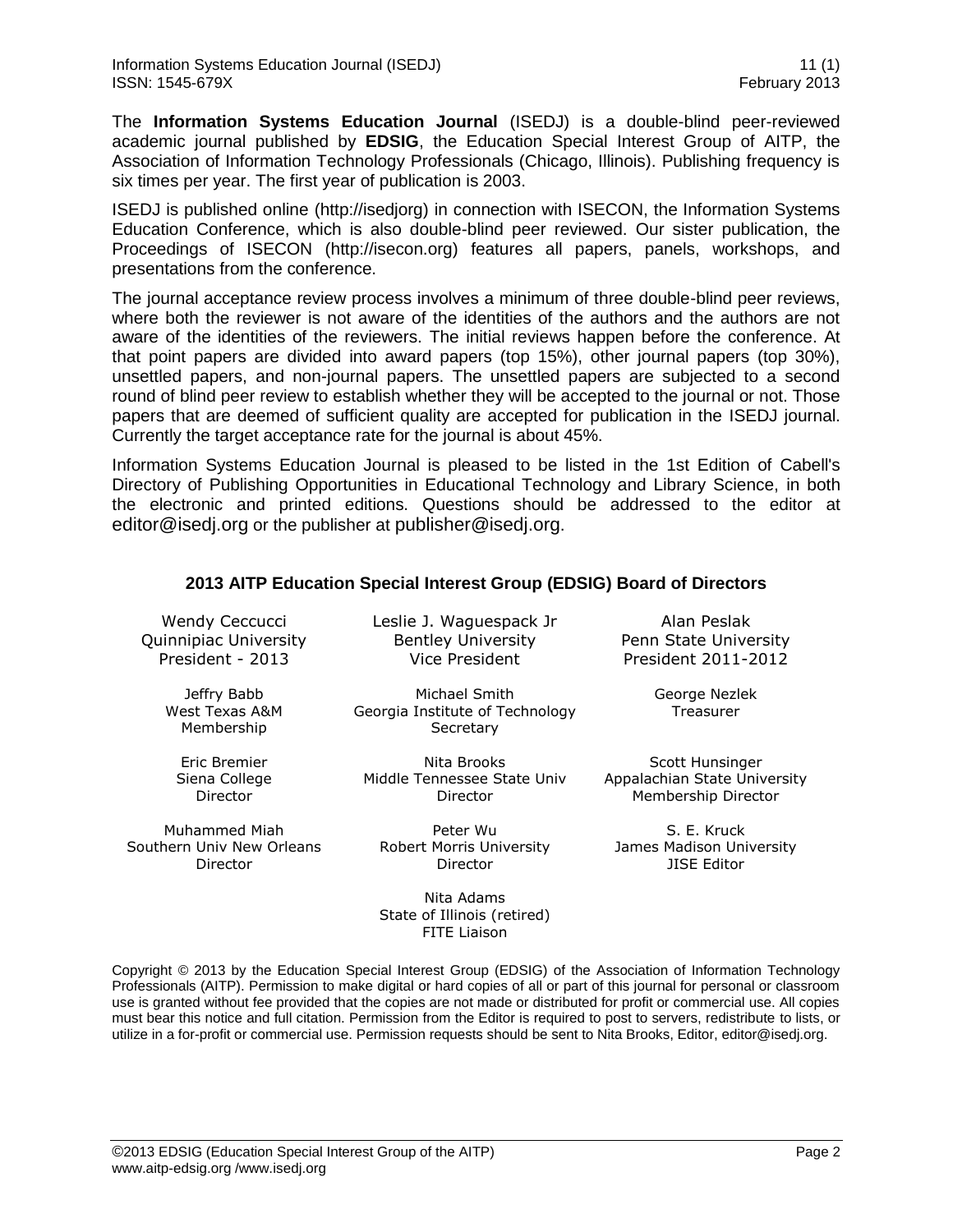The **Information Systems Education Journal** (ISEDJ) is a double-blind peer-reviewed academic journal published by **EDSIG**, the Education Special Interest Group of AITP, the Association of Information Technology Professionals (Chicago, Illinois). Publishing frequency is six times per year. The first year of publication is 2003.

ISEDJ is published online (http://isedjorg) in connection with ISECON, the Information Systems Education Conference, which is also double-blind peer reviewed. Our sister publication, the Proceedings of ISECON (http://isecon.org) features all papers, panels, workshops, and presentations from the conference.

The journal acceptance review process involves a minimum of three double-blind peer reviews, where both the reviewer is not aware of the identities of the authors and the authors are not aware of the identities of the reviewers. The initial reviews happen before the conference. At that point papers are divided into award papers (top 15%), other journal papers (top 30%), unsettled papers, and non-journal papers. The unsettled papers are subjected to a second round of blind peer review to establish whether they will be accepted to the journal or not. Those papers that are deemed of sufficient quality are accepted for publication in the ISEDJ journal. Currently the target acceptance rate for the journal is about 45%.

Information Systems Education Journal is pleased to be listed in the [1st Edition of Cabell's](http://www.cabells.com/)  [Directory of Publishing Opportunities in Educational Technology and Library Science,](http://www.cabells.com/) in both the electronic and printed editions. Questions should be addressed to the editor at [editor@isedj.org](mailto:editor@isedj.org) or the publisher at [publisher@isedj.org](mailto:publisher@isedj.org).

|  |  | 2013 AITP Education Special Interest Group (EDSIG) Board of Directors |
|--|--|-----------------------------------------------------------------------|
|  |  |                                                                       |

Wendy Ceccucci Quinnipiac University President - 2013

> Jeffry Babb West Texas A&M Membership

Eric Bremier Siena College Director

Muhammed Miah Southern Univ New Orleans Director

Leslie J. Waguespack Jr Bentley University Vice President

Michael Smith Georgia Institute of Technology **Secretary** 

Nita Brooks Middle Tennessee State Univ Director

Peter Wu Robert Morris University Director

Nita Adams State of Illinois (retired) FITE Liaison

Alan Peslak Penn State University President 2011-2012

> George Nezlek **Treasurer**

Scott Hunsinger Appalachian State University Membership Director

S. E. Kruck James Madison University JISE Editor

Copyright © 2013 by the Education Special Interest Group (EDSIG) of the Association of Information Technology Professionals (AITP). Permission to make digital or hard copies of all or part of this journal for personal or classroom use is granted without fee provided that the copies are not made or distributed for profit or commercial use. All copies must bear this notice and full citation. Permission from the Editor is required to post to servers, redistribute to lists, or utilize in a for-profit or commercial use. Permission requests should be sent to Nita Brooks, Editor, editor@isedj.org.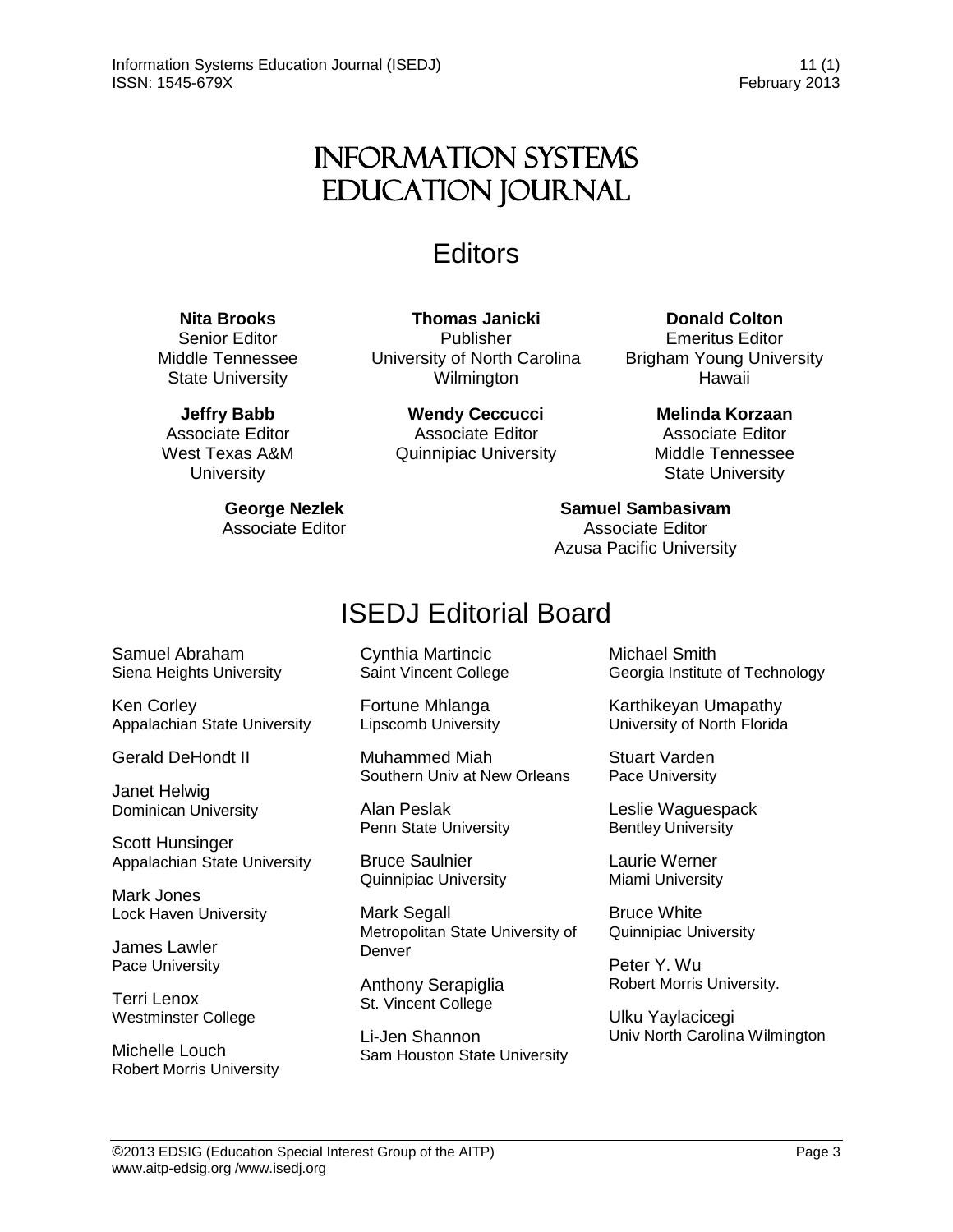# Information Systems Education Journal

# **Editors**

# **Nita Brooks**

Senior Editor Middle Tennessee State University

**Jeffry Babb** Associate Editor West Texas A&M **University** 

> **George Nezlek** Associate Editor

**Thomas Janicki**  Publisher University of North Carolina Wilmington

> **Wendy Ceccucci** Associate Editor Quinnipiac University

**Donald Colton**

Emeritus Editor Brigham Young University Hawaii

> **Melinda Korzaan** Associate Editor Middle Tennessee State University

**Samuel Sambasivam** Associate Editor Azusa Pacific University

# ISEDJ Editorial Board

Samuel Abraham Siena Heights University

Ken Corley Appalachian State University

Gerald DeHondt II

Janet Helwig Dominican University

Scott Hunsinger Appalachian State University

Mark Jones Lock Haven University

James Lawler Pace University

Terri Lenox Westminster College

Michelle Louch Robert Morris University Cynthia Martincic Saint Vincent College

Fortune Mhlanga Lipscomb University

Muhammed Miah Southern Univ at New Orleans

Alan Peslak Penn State University

Bruce Saulnier Quinnipiac University

Mark Segall Metropolitan State University of Denver

Anthony Serapiglia St. Vincent College

Li-Jen Shannon Sam Houston State University Michael Smith Georgia Institute of Technology

Karthikeyan Umapathy University of North Florida

Stuart Varden Pace University

Leslie Waguespack Bentley University

Laurie Werner Miami University

Bruce White Quinnipiac University

Peter Y. Wu Robert Morris University.

Ulku Yaylacicegi Univ North Carolina Wilmington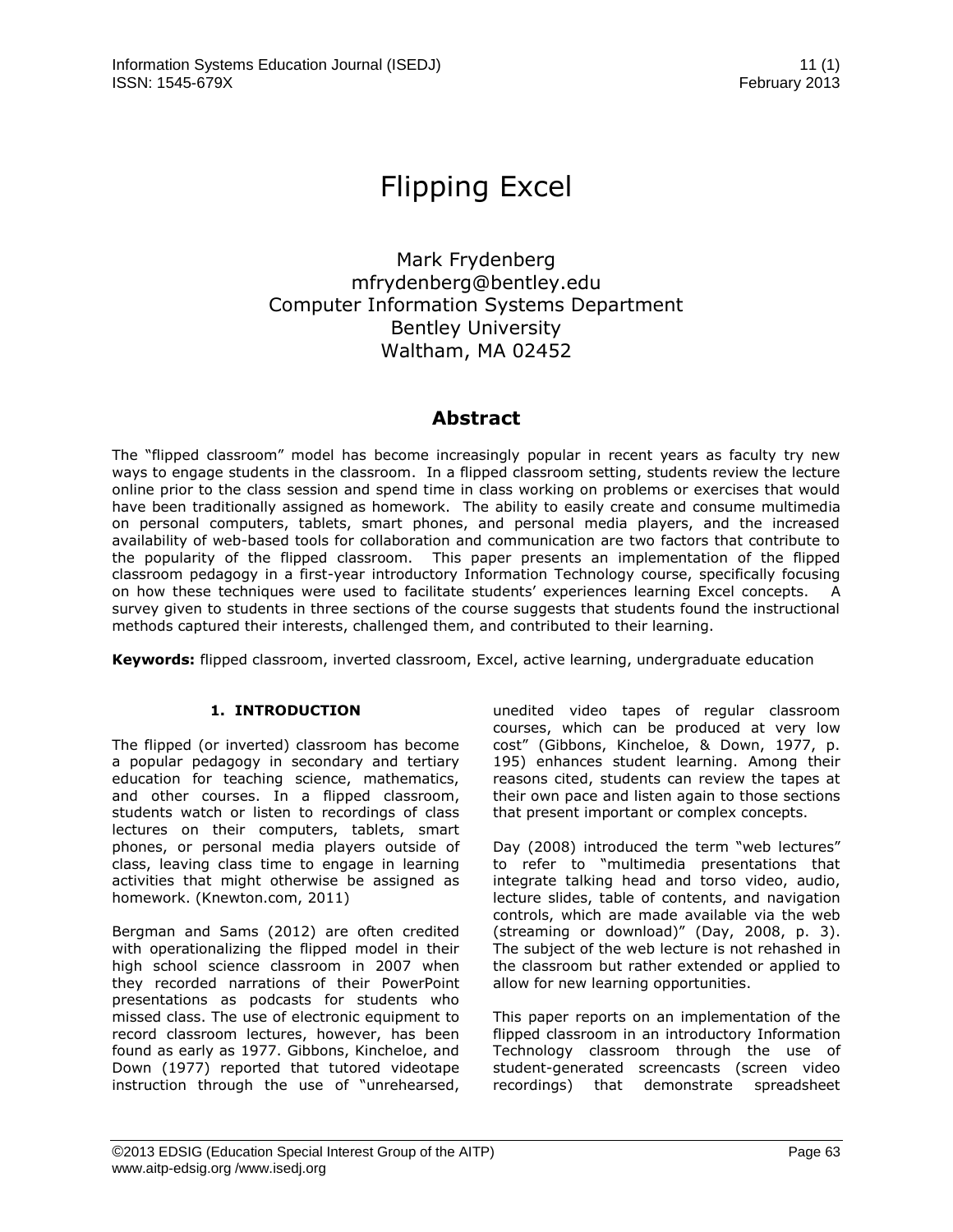# Flipping Excel

Mark Frydenberg mfrydenberg@bentley.edu Computer Information Systems Department Bentley University Waltham, MA 02452

# **Abstract**

The "flipped classroom" model has become increasingly popular in recent years as faculty try new ways to engage students in the classroom. In a flipped classroom setting, students review the lecture online prior to the class session and spend time in class working on problems or exercises that would have been traditionally assigned as homework. The ability to easily create and consume multimedia on personal computers, tablets, smart phones, and personal media players, and the increased availability of web-based tools for collaboration and communication are two factors that contribute to the popularity of the flipped classroom. This paper presents an implementation of the flipped classroom pedagogy in a first-year introductory Information Technology course, specifically focusing on how these techniques were used to facilitate students' experiences learning Excel concepts. A survey given to students in three sections of the course suggests that students found the instructional methods captured their interests, challenged them, and contributed to their learning.

**Keywords:** flipped classroom, inverted classroom, Excel, active learning, undergraduate education

# **1. INTRODUCTION**

The flipped (or inverted) classroom has become a popular pedagogy in secondary and tertiary education for teaching science, mathematics, and other courses. In a flipped classroom, students watch or listen to recordings of class lectures on their computers, tablets, smart phones, or personal media players outside of class, leaving class time to engage in learning activities that might otherwise be assigned as homework. (Knewton.com, 2011)

Bergman and Sams (2012) are often credited with operationalizing the flipped model in their high school science classroom in 2007 when they recorded narrations of their PowerPoint presentations as podcasts for students who missed class. The use of electronic equipment to record classroom lectures, however, has been found as early as 1977. Gibbons, Kincheloe, and Down (1977) reported that tutored videotape instruction through the use of "unrehearsed, unedited video tapes of regular classroom courses, which can be produced at very low cost" (Gibbons, Kincheloe, & Down, 1977, p. 195) enhances student learning. Among their reasons cited, students can review the tapes at their own pace and listen again to those sections that present important or complex concepts.

Day (2008) introduced the term "web lectures" to refer to "multimedia presentations that integrate talking head and torso video, audio, lecture slides, table of contents, and navigation controls, which are made available via the web (streaming or download)" (Day, 2008, p. 3). The subject of the web lecture is not rehashed in the classroom but rather extended or applied to allow for new learning opportunities.

This paper reports on an implementation of the flipped classroom in an introductory Information Technology classroom through the use of student-generated screencasts (screen video recordings) that demonstrate spreadsheet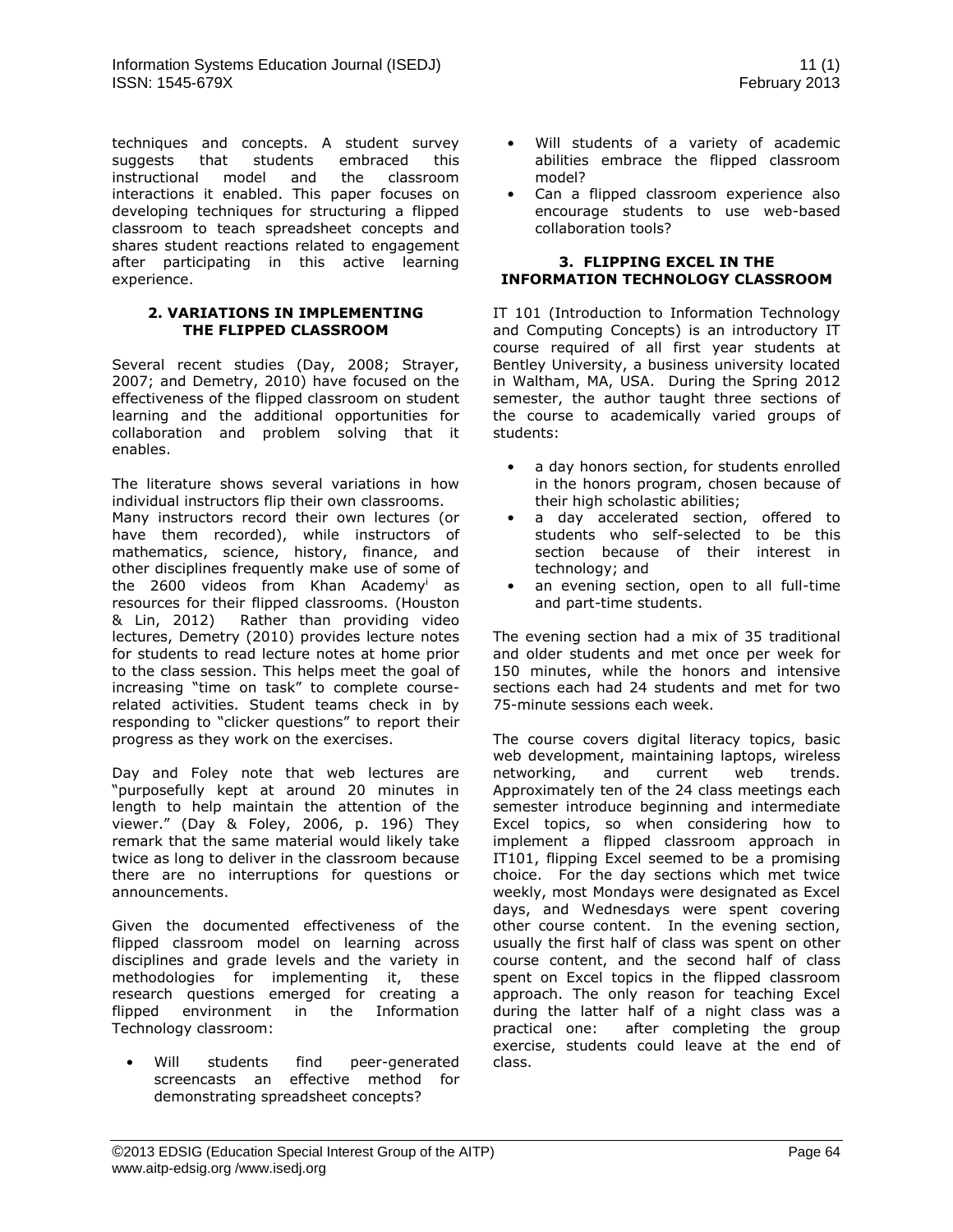techniques and concepts. A student survey suggests that students embraced this instructional model and the classroom interactions it enabled. This paper focuses on developing techniques for structuring a flipped classroom to teach spreadsheet concepts and shares student reactions related to engagement after participating in this active learning experience.

#### **2. VARIATIONS IN IMPLEMENTING THE FLIPPED CLASSROOM**

Several recent studies (Day, 2008; Strayer, 2007; and Demetry, 2010) have focused on the effectiveness of the flipped classroom on student learning and the additional opportunities for collaboration and problem solving that it enables.

The literature shows several variations in how individual instructors flip their own classrooms. Many instructors record their own lectures (or have them recorded), while instructors of mathematics, science, history, finance, and other disciplines frequently make use of some of the 2600 videos from Khan Academy<sup>i</sup> as resources for their flipped classrooms. (Houston & Lin, 2012) Rather than providing video lectures, Demetry (2010) provides lecture notes for students to read lecture notes at home prior to the class session. This helps meet the goal of increasing "time on task" to complete courserelated activities. Student teams check in by responding to "clicker questions" to report their progress as they work on the exercises.

Day and Foley note that web lectures are "purposefully kept at around 20 minutes in length to help maintain the attention of the viewer." (Day & Foley, 2006, p. 196) They remark that the same material would likely take twice as long to deliver in the classroom because there are no interruptions for questions or announcements.

Given the documented effectiveness of the flipped classroom model on learning across disciplines and grade levels and the variety in methodologies for implementing it, these research questions emerged for creating a flipped environment in the Information Technology classroom:

Will students find peer-generated screencasts an effective method for demonstrating spreadsheet concepts?

- Will students of a variety of academic abilities embrace the flipped classroom model?
- Can a flipped classroom experience also encourage students to use web-based collaboration tools?

#### **3. FLIPPING EXCEL IN THE INFORMATION TECHNOLOGY CLASSROOM**

IT 101 (Introduction to Information Technology and Computing Concepts) is an introductory IT course required of all first year students at Bentley University, a business university located in Waltham, MA, USA. During the Spring 2012 semester, the author taught three sections of the course to academically varied groups of students:

- a day honors section, for students enrolled in the honors program, chosen because of their high scholastic abilities;
- a day accelerated section, offered to students who self-selected to be this section because of their interest in technology; and
- an evening section, open to all full-time and part-time students.

The evening section had a mix of 35 traditional and older students and met once per week for 150 minutes, while the honors and intensive sections each had 24 students and met for two 75-minute sessions each week.

The course covers digital literacy topics, basic web development, maintaining laptops, wireless networking, and current web trends. Approximately ten of the 24 class meetings each semester introduce beginning and intermediate Excel topics, so when considering how to implement a flipped classroom approach in IT101, flipping Excel seemed to be a promising choice. For the day sections which met twice weekly, most Mondays were designated as Excel days, and Wednesdays were spent covering other course content. In the evening section, usually the first half of class was spent on other course content, and the second half of class spent on Excel topics in the flipped classroom approach. The only reason for teaching Excel during the latter half of a night class was a practical one: after completing the group exercise, students could leave at the end of class.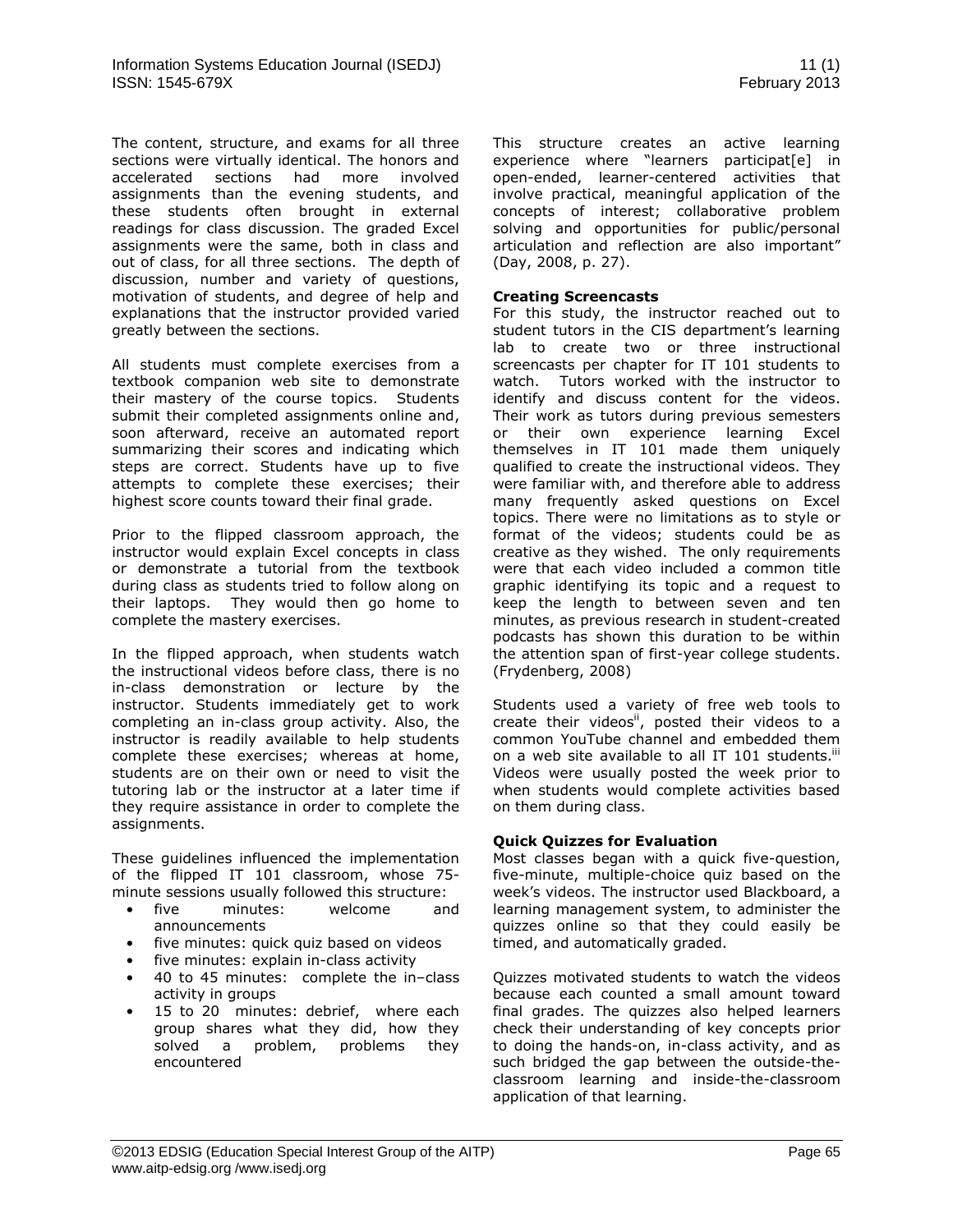The content, structure, and exams for all three sections were virtually identical. The honors and accelerated sections had more involved assignments than the evening students, and these students often brought in external readings for class discussion. The graded Excel assignments were the same, both in class and out of class, for all three sections. The depth of discussion, number and variety of questions, motivation of students, and degree of help and explanations that the instructor provided varied greatly between the sections.

All students must complete exercises from a textbook companion web site to demonstrate their mastery of the course topics. Students submit their completed assignments online and, soon afterward, receive an automated report summarizing their scores and indicating which steps are correct. Students have up to five attempts to complete these exercises; their highest score counts toward their final grade.

Prior to the flipped classroom approach, the instructor would explain Excel concepts in class or demonstrate a tutorial from the textbook during class as students tried to follow along on their laptops. They would then go home to complete the mastery exercises.

In the flipped approach, when students watch the instructional videos before class, there is no in-class demonstration or lecture by the instructor. Students immediately get to work completing an in-class group activity. Also, the instructor is readily available to help students complete these exercises; whereas at home, students are on their own or need to visit the tutoring lab or the instructor at a later time if they require assistance in order to complete the assignments.

These guidelines influenced the implementation of the flipped IT 101 classroom, whose 75 minute sessions usually followed this structure:

- five minutes: welcome and announcements
- five minutes: quick quiz based on videos
- five minutes: explain in-class activity
- 40 to 45 minutes: complete the in–class activity in groups
- 15 to 20 minutes: debrief, where each group shares what they did, how they solved a problem, problems they encountered

This structure creates an active learning experience where "learners participat[e] in open-ended, learner-centered activities that involve practical, meaningful application of the concepts of interest; collaborative problem solving and opportunities for public/personal articulation and reflection are also important" (Day, 2008, p. 27).

#### **Creating Screencasts**

For this study, the instructor reached out to student tutors in the CIS department's learning lab to create two or three instructional screencasts per chapter for IT 101 students to watch. Tutors worked with the instructor to identify and discuss content for the videos. Their work as tutors during previous semesters or their own experience learning Excel themselves in IT 101 made them uniquely qualified to create the instructional videos. They were familiar with, and therefore able to address many frequently asked questions on Excel topics. There were no limitations as to style or format of the videos; students could be as creative as they wished. The only requirements were that each video included a common title graphic identifying its topic and a request to keep the length to between seven and ten minutes, as previous research in student-created podcasts has shown this duration to be within the attention span of first-year college students. (Frydenberg, 2008)

Students used a variety of free web tools to create their videos<sup>ii</sup>, posted their videos to a common YouTube channel and embedded them on a web site available to all IT 101 students.<sup>iii</sup> Videos were usually posted the week prior to when students would complete activities based on them during class.

## **Quick Quizzes for Evaluation**

Most classes began with a quick five-question, five-minute, multiple-choice quiz based on the week's videos. The instructor used Blackboard, a learning management system, to administer the quizzes online so that they could easily be timed, and automatically graded.

Quizzes motivated students to watch the videos because each counted a small amount toward final grades. The quizzes also helped learners check their understanding of key concepts prior to doing the hands-on, in-class activity, and as such bridged the gap between the outside-theclassroom learning and inside-the-classroom application of that learning.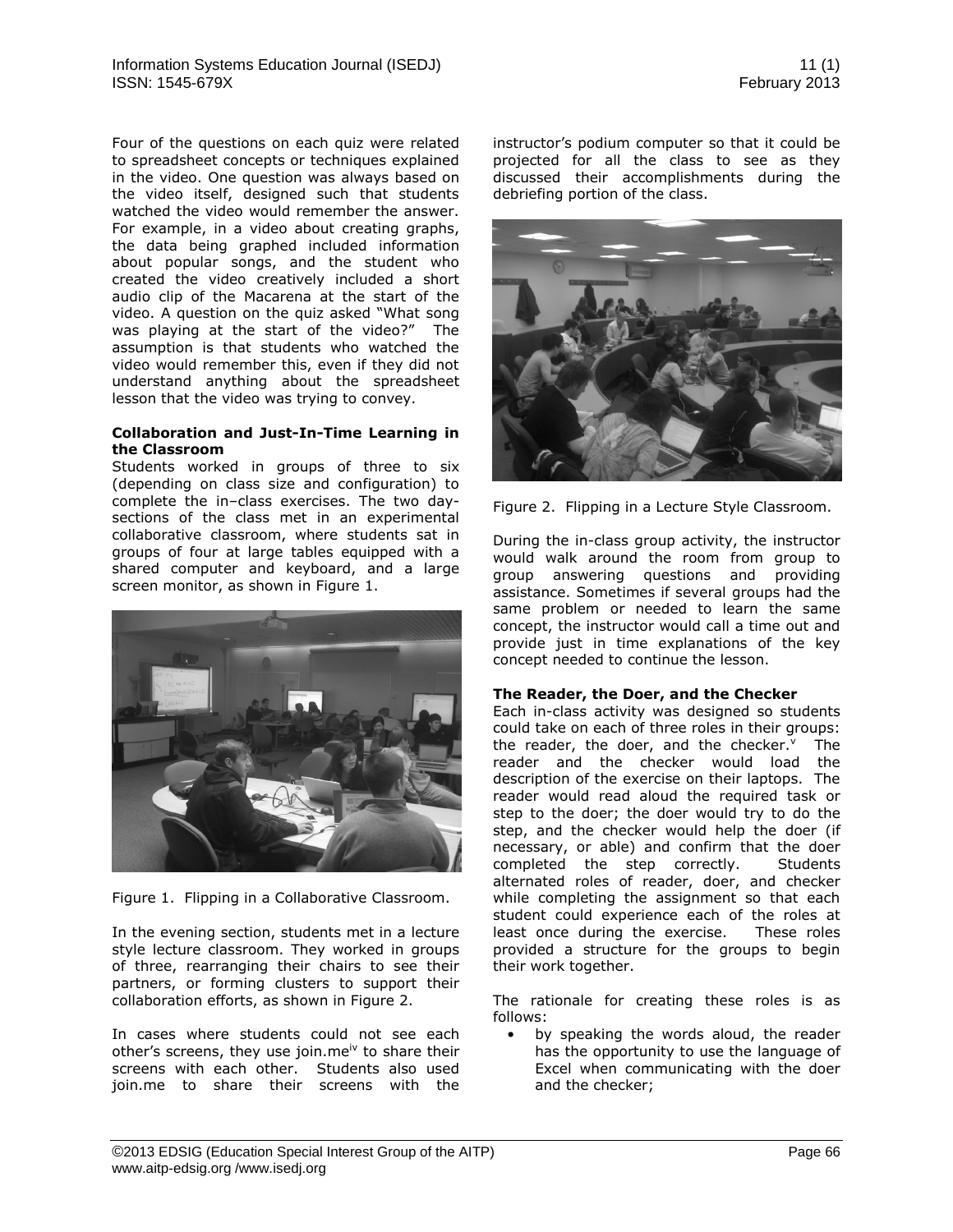Four of the questions on each quiz were related to spreadsheet concepts or techniques explained in the video. One question was always based on the video itself, designed such that students watched the video would remember the answer. For example, in a video about creating graphs, the data being graphed included information about popular songs, and the student who created the video creatively included a short audio clip of the Macarena at the start of the video. A question on the quiz asked "What song was playing at the start of the video?" The assumption is that students who watched the video would remember this, even if they did not understand anything about the spreadsheet lesson that the video was trying to convey.

#### **Collaboration and Just-In-Time Learning in the Classroom**

Students worked in groups of three to six (depending on class size and configuration) to complete the in–class exercises. The two daysections of the class met in an experimental collaborative classroom, where students sat in groups of four at large tables equipped with a shared computer and keyboard, and a large screen monitor, as shown in Figure 1.



Figure 1. Flipping in a Collaborative Classroom.

In the evening section, students met in a lecture style lecture classroom. They worked in groups of three, rearranging their chairs to see their partners, or forming clusters to support their collaboration efforts, as shown in Figure 2.

In cases where students could not see each other's screens, they use join.me<sup>iv</sup> to share their screens with each other. Students also used join.me to share their screens with the instructor's podium computer so that it could be projected for all the class to see as they discussed their accomplishments during the debriefing portion of the class.



Figure 2. Flipping in a Lecture Style Classroom.

During the in-class group activity, the instructor would walk around the room from group to group answering questions and providing assistance. Sometimes if several groups had the same problem or needed to learn the same concept, the instructor would call a time out and provide just in time explanations of the key concept needed to continue the lesson.

# **The Reader, the Doer, and the Checker**

Each in-class activity was designed so students could take on each of three roles in their groups: the reader, the doer, and the checker.<sup>v</sup> The reader and the checker would load the description of the exercise on their laptops. The reader would read aloud the required task or step to the doer; the doer would try to do the step, and the checker would help the doer (if necessary, or able) and confirm that the doer completed the step correctly. Students alternated roles of reader, doer, and checker while completing the assignment so that each student could experience each of the roles at least once during the exercise. These roles provided a structure for the groups to begin their work together.

The rationale for creating these roles is as follows:

• by speaking the words aloud, the reader has the opportunity to use the language of Excel when communicating with the doer and the checker;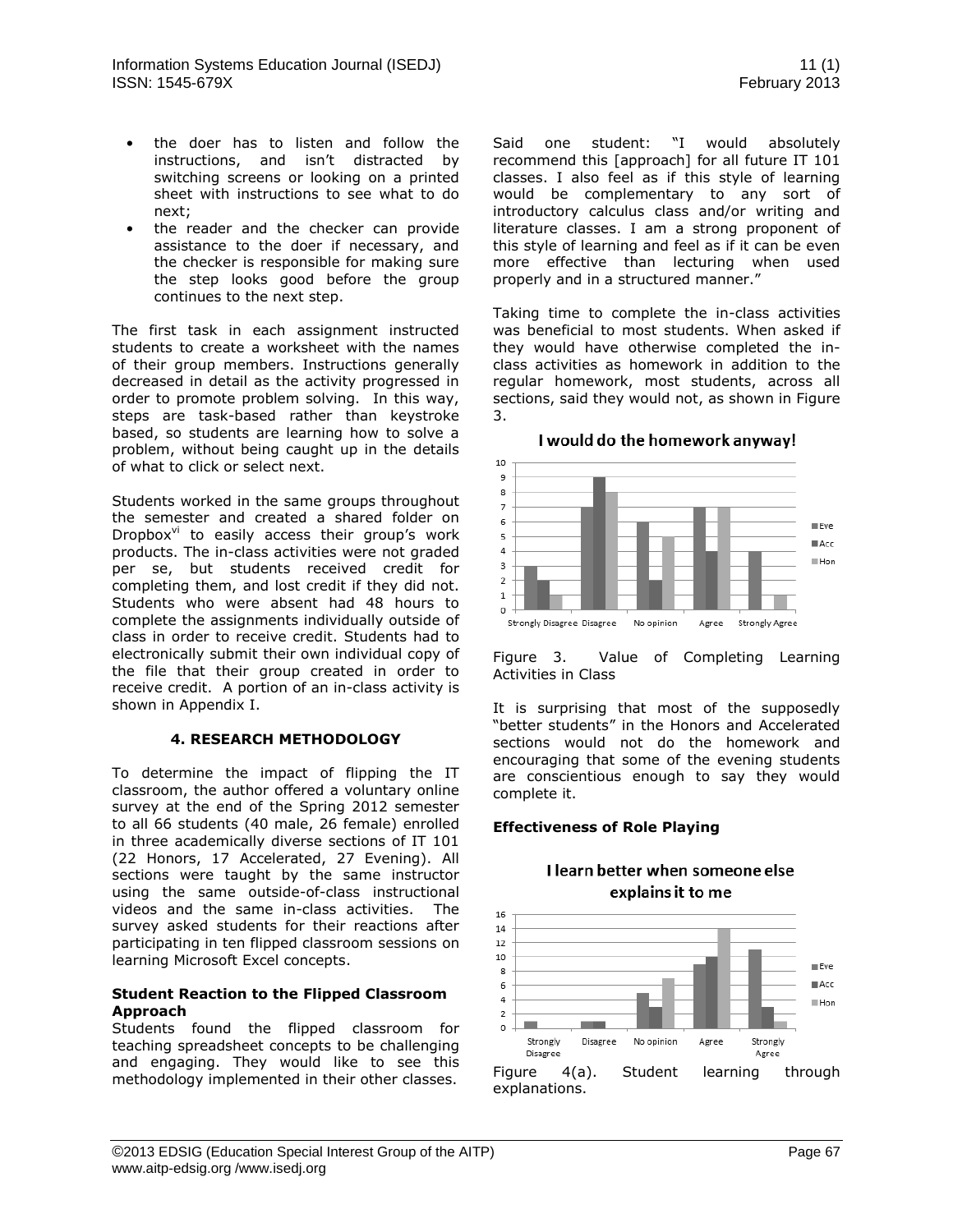- the doer has to listen and follow the instructions, and isn't distracted by switching screens or looking on a printed sheet with instructions to see what to do next;
- the reader and the checker can provide assistance to the doer if necessary, and the checker is responsible for making sure the step looks good before the group continues to the next step.

The first task in each assignment instructed students to create a worksheet with the names of their group members. Instructions generally decreased in detail as the activity progressed in order to promote problem solving. In this way, steps are task-based rather than keystroke based, so students are learning how to solve a problem, without being caught up in the details of what to click or select next.

Students worked in the same groups throughout the semester and created a shared folder on Dropbox $v^i$  to easily access their group's work products. The in-class activities were not graded per se, but students received credit for completing them, and lost credit if they did not. Students who were absent had 48 hours to complete the assignments individually outside of class in order to receive credit. Students had to electronically submit their own individual copy of the file that their group created in order to receive credit. A portion of an in-class activity is shown in Appendix I.

## **4. RESEARCH METHODOLOGY**

To determine the impact of flipping the IT classroom, the author offered a voluntary online survey at the end of the Spring 2012 semester to all 66 students (40 male, 26 female) enrolled in three academically diverse sections of IT 101 (22 Honors, 17 Accelerated, 27 Evening). All sections were taught by the same instructor using the same outside-of-class instructional videos and the same in-class activities. The survey asked students for their reactions after participating in ten flipped classroom sessions on learning Microsoft Excel concepts.

## **Student Reaction to the Flipped Classroom Approach**

Students found the flipped classroom for teaching spreadsheet concepts to be challenging and engaging. They would like to see this methodology implemented in their other classes.

Said one student: "I would absolutely recommend this [approach] for all future IT 101 classes. I also feel as if this style of learning would be complementary to any sort of introductory calculus class and/or writing and literature classes. I am a strong proponent of this style of learning and feel as if it can be even more effective than lecturing when used properly and in a structured manner."

Taking time to complete the in-class activities was beneficial to most students. When asked if they would have otherwise completed the inclass activities as homework in addition to the regular homework, most students, across all sections, said they would not, as shown in Figure 3.

## I would do the homework anyway!



Figure 3. Value of Completing Learning Activities in Class

It is surprising that most of the supposedly "better students" in the Honors and Accelerated sections would not do the homework and encouraging that some of the evening students are conscientious enough to say they would complete it.

# **Effectiveness of Role Playing**

# I learn better when someone else explains it to me

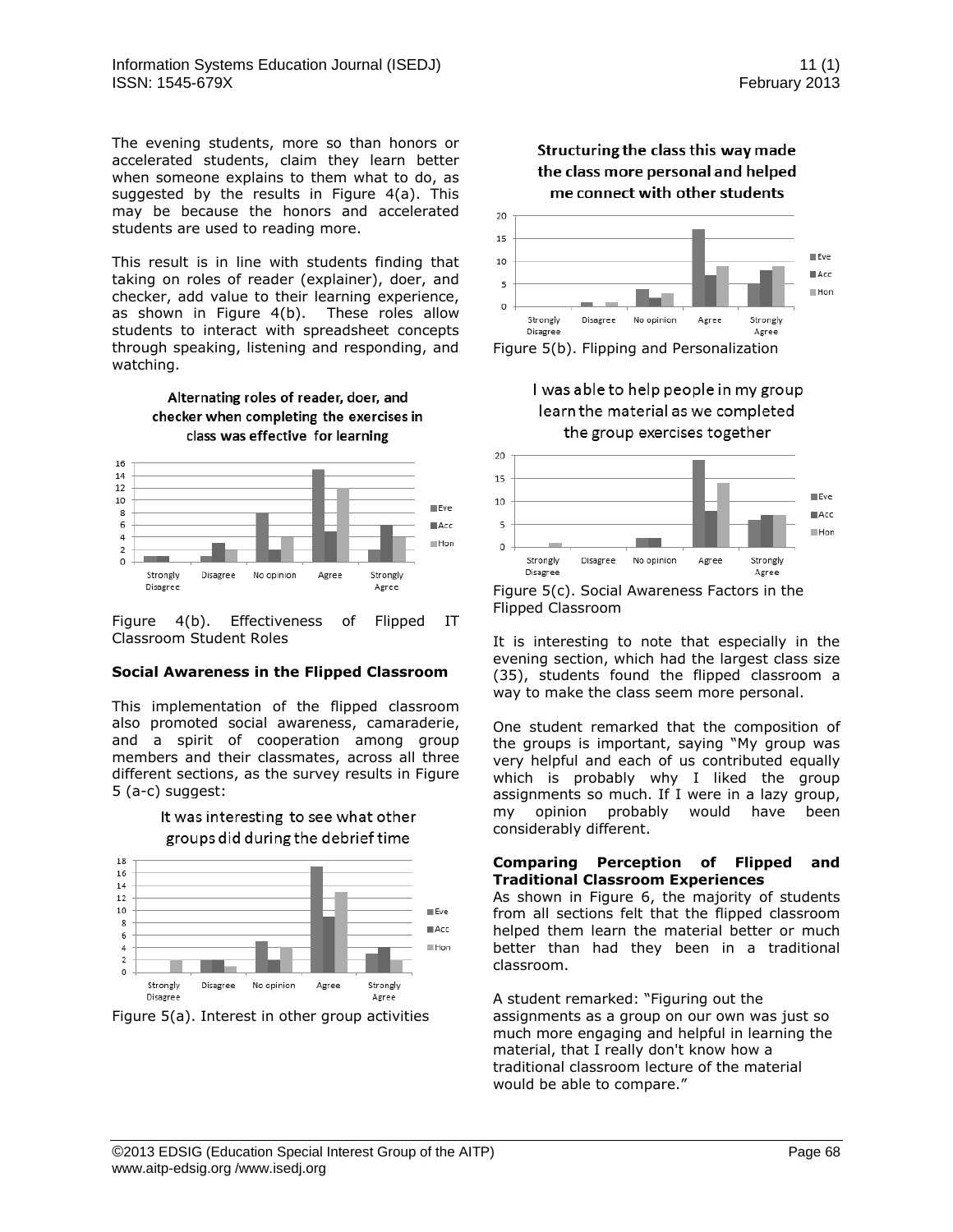The evening students, more so than honors or accelerated students, claim they learn better when someone explains to them what to do, as suggested by the results in Figure 4(a). This may be because the honors and accelerated students are used to reading more.

This result is in line with students finding that taking on roles of reader (explainer), doer, and checker, add value to their learning experience, as shown in Figure 4(b). These roles allow students to interact with spreadsheet concepts through speaking, listening and responding, and watching.





Figure 4(b). Effectiveness of Flipped IT Classroom Student Roles

## **Social Awareness in the Flipped Classroom**

This implementation of the flipped classroom also promoted social awareness, camaraderie, and a spirit of cooperation among group members and their classmates, across all three different sections, as the survey results in Figure 5 (a-c) suggest:





Figure 5(a). Interest in other group activities





Figure 5(b). Flipping and Personalization





Flipped Classroom

It is interesting to note that especially in the evening section, which had the largest class size (35), students found the flipped classroom a way to make the class seem more personal.

One student remarked that the composition of the groups is important, saying "My group was very helpful and each of us contributed equally which is probably why I liked the group assignments so much. If I were in a lazy group, my opinion probably would have been considerably different.

## **Comparing Perception of Flipped and Traditional Classroom Experiences**

As shown in Figure 6, the majority of students from all sections felt that the flipped classroom helped them learn the material better or much better than had they been in a traditional classroom.

A student remarked: "Figuring out the assignments as a group on our own was just so much more engaging and helpful in learning the material, that I really don't know how a traditional classroom lecture of the material would be able to compare."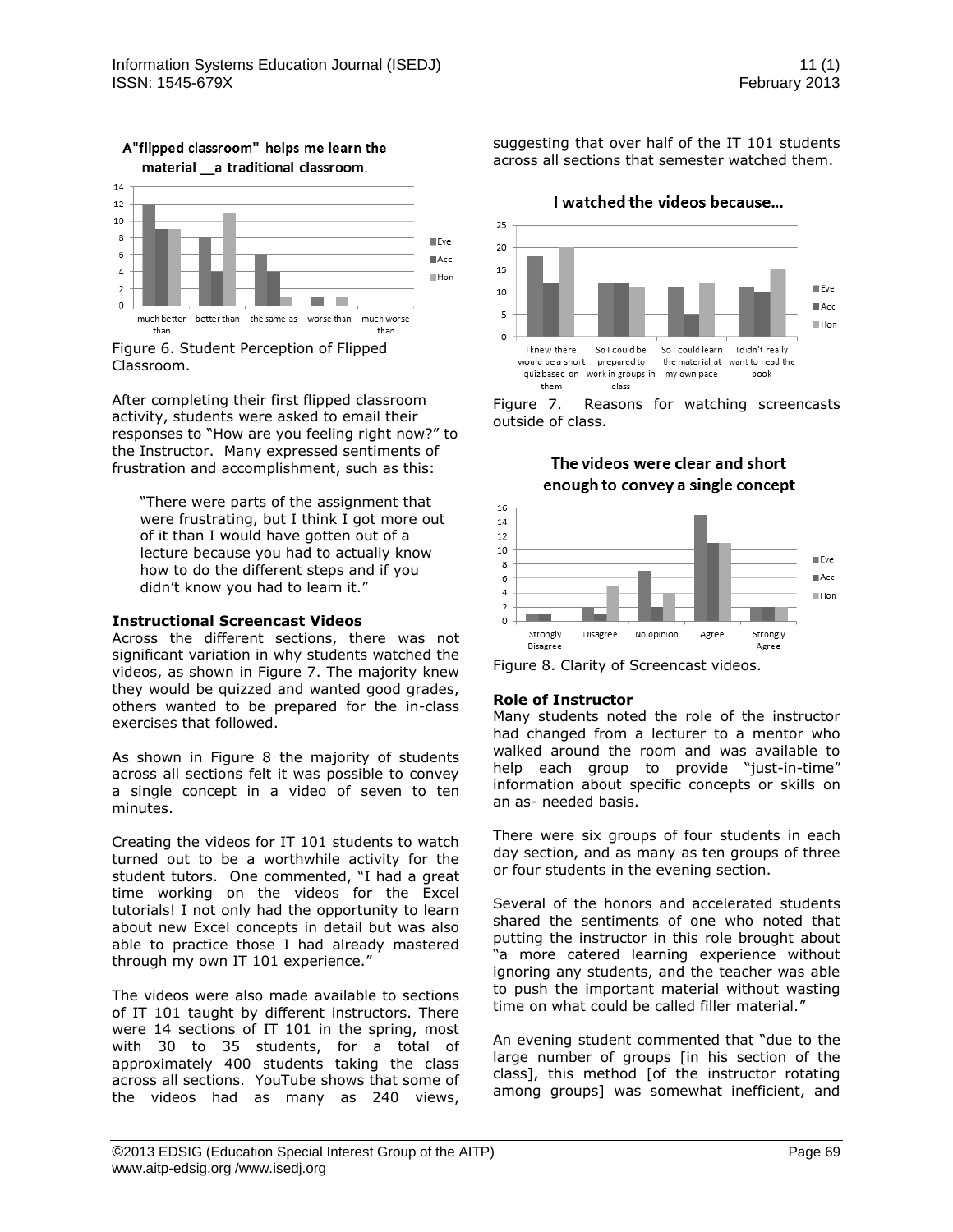

## A"flipped classroom" helps me learn the material a traditional classroom.

Figure 6. Student Perception of Flipped Classroom.

After completing their first flipped classroom activity, students were asked to email their responses to "How are you feeling right now?" to the Instructor. Many expressed sentiments of frustration and accomplishment, such as this:

"There were parts of the assignment that were frustrating, but I think I got more out of it than I would have gotten out of a lecture because you had to actually know how to do the different steps and if you didn't know you had to learn it."

#### **Instructional Screencast Videos**

Across the different sections, there was not significant variation in why students watched the videos, as shown in Figure 7. The majority knew they would be quizzed and wanted good grades, others wanted to be prepared for the in-class exercises that followed.

As shown in Figure 8 the majority of students across all sections felt it was possible to convey a single concept in a video of seven to ten minutes.

Creating the videos for IT 101 students to watch turned out to be a worthwhile activity for the student tutors. One commented, "I had a great time working on the videos for the Excel tutorials! I not only had the opportunity to learn about new Excel concepts in detail but was also able to practice those I had already mastered through my own IT 101 experience."

The videos were also made available to sections of IT 101 taught by different instructors. There were 14 sections of IT 101 in the spring, most with 30 to 35 students, for a total of approximately 400 students taking the class across all sections. YouTube shows that some of the videos had as many as 240 views, suggesting that over half of the IT 101 students across all sections that semester watched them.

I watched the videos because...

 $25$  $20$ 15 Eve  $10$  $Acc$ 5 **Hon**  $\circ$ I knew there So I could be So I could learn I didn't really would be a short prepared to the material at want to read the quiz based on work in groups in my own pace hook them class

Figure 7. Reasons for watching screencasts outside of class.



# The videos were clear and short enough to convey a single concept

## **Role of Instructor**

Many students noted the role of the instructor had changed from a lecturer to a mentor who walked around the room and was available to help each group to provide "just-in-time" information about specific concepts or skills on an as- needed basis.

There were six groups of four students in each day section, and as many as ten groups of three or four students in the evening section.

Several of the honors and accelerated students shared the sentiments of one who noted that putting the instructor in this role brought about "a more catered learning experience without ignoring any students, and the teacher was able to push the important material without wasting time on what could be called filler material."

An evening student commented that "due to the large number of groups [in his section of the class], this method [of the instructor rotating among groups] was somewhat inefficient, and

Figure 8. Clarity of Screencast videos.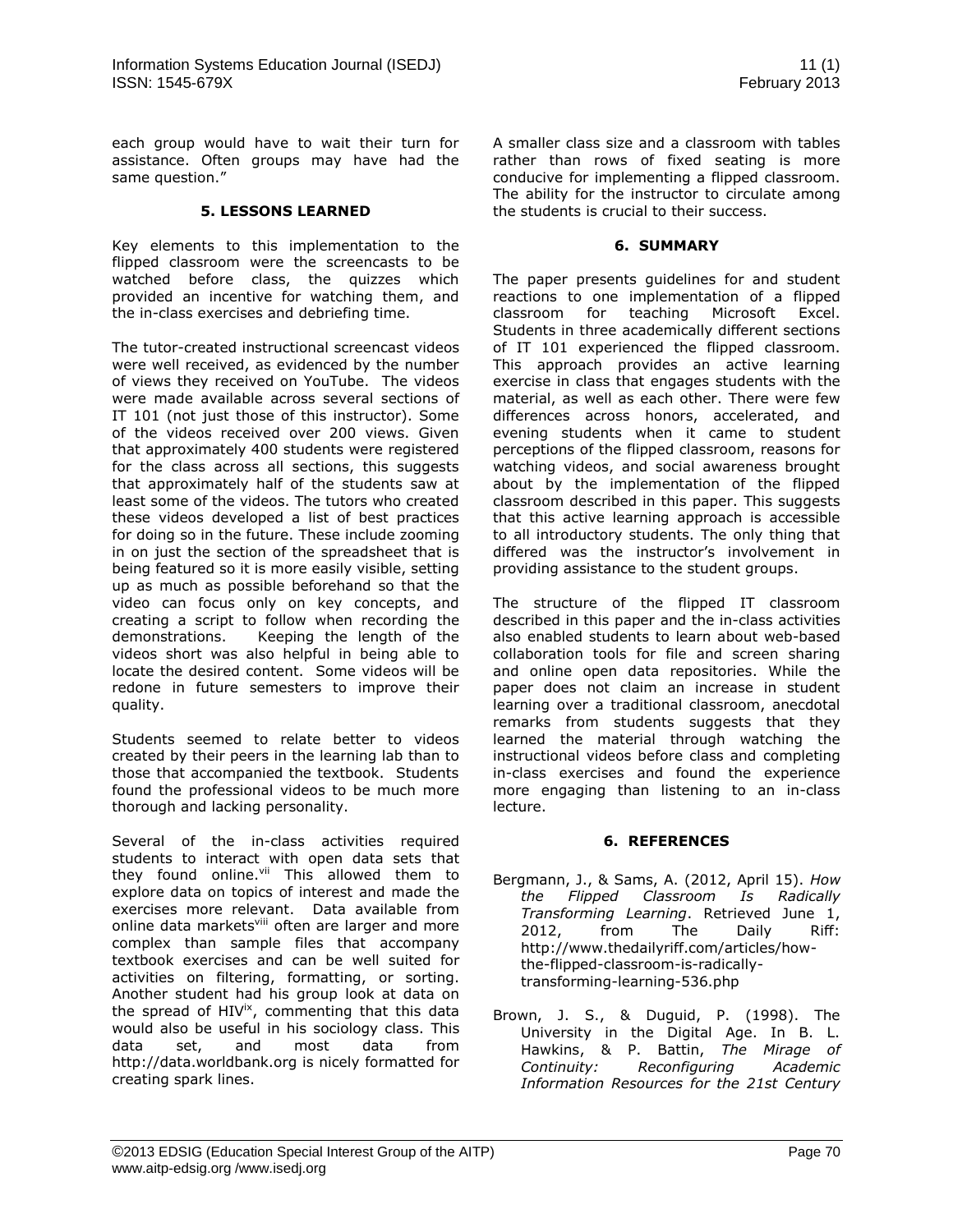each group would have to wait their turn for assistance. Often groups may have had the same question."

#### **5. LESSONS LEARNED**

Key elements to this implementation to the flipped classroom were the screencasts to be watched before class, the quizzes which provided an incentive for watching them, and the in-class exercises and debriefing time.

The tutor-created instructional screencast videos were well received, as evidenced by the number of views they received on YouTube. The videos were made available across several sections of IT 101 (not just those of this instructor). Some of the videos received over 200 views. Given that approximately 400 students were registered for the class across all sections, this suggests that approximately half of the students saw at least some of the videos. The tutors who created these videos developed a list of best practices for doing so in the future. These include zooming in on just the section of the spreadsheet that is being featured so it is more easily visible, setting up as much as possible beforehand so that the video can focus only on key concepts, and creating a script to follow when recording the demonstrations. Keeping the length of the videos short was also helpful in being able to locate the desired content. Some videos will be redone in future semesters to improve their quality.

Students seemed to relate better to videos created by their peers in the learning lab than to those that accompanied the textbook. Students found the professional videos to be much more thorough and lacking personality.

Several of the in-class activities required students to interact with open data sets that they found online.<sup>vii</sup> This allowed them to explore data on topics of interest and made the exercises more relevant. Data available from online data markets<sup>viii</sup> often are larger and more complex than sample files that accompany textbook exercises and can be well suited for activities on filtering, formatting, or sorting. Another student had his group look at data on the spread of HIV<sup>ix</sup>, commenting that this data would also be useful in his sociology class. This data set, and most data from http://data.worldbank.org is nicely formatted for creating spark lines.

A smaller class size and a classroom with tables rather than rows of fixed seating is more conducive for implementing a flipped classroom. The ability for the instructor to circulate among the students is crucial to their success.

#### **6. SUMMARY**

The paper presents guidelines for and student reactions to one implementation of a flipped classroom for teaching Microsoft Excel. Students in three academically different sections of IT 101 experienced the flipped classroom. This approach provides an active learning exercise in class that engages students with the material, as well as each other. There were few differences across honors, accelerated, and evening students when it came to student perceptions of the flipped classroom, reasons for watching videos, and social awareness brought about by the implementation of the flipped classroom described in this paper. This suggests that this active learning approach is accessible to all introductory students. The only thing that differed was the instructor's involvement in providing assistance to the student groups.

The structure of the flipped IT classroom described in this paper and the in-class activities also enabled students to learn about web-based collaboration tools for file and screen sharing and online open data repositories. While the paper does not claim an increase in student learning over a traditional classroom, anecdotal remarks from students suggests that they learned the material through watching the instructional videos before class and completing in-class exercises and found the experience more engaging than listening to an in-class lecture.

## **6. REFERENCES**

- Bergmann, J., & Sams, A. (2012, April 15). *How the Flipped Classroom Is Radically Transforming Learning*. Retrieved June 1, 2012, from The Daily Riff: http://www.thedailyriff.com/articles/howthe-flipped-classroom-is-radicallytransforming-learning-536.php
- Brown, J. S., & Duguid, P. (1998). The University in the Digital Age. In B. L. Hawkins, & P. Battin, *The Mirage of Continuity: Reconfiguring Academic Information Resources for the 21st Century*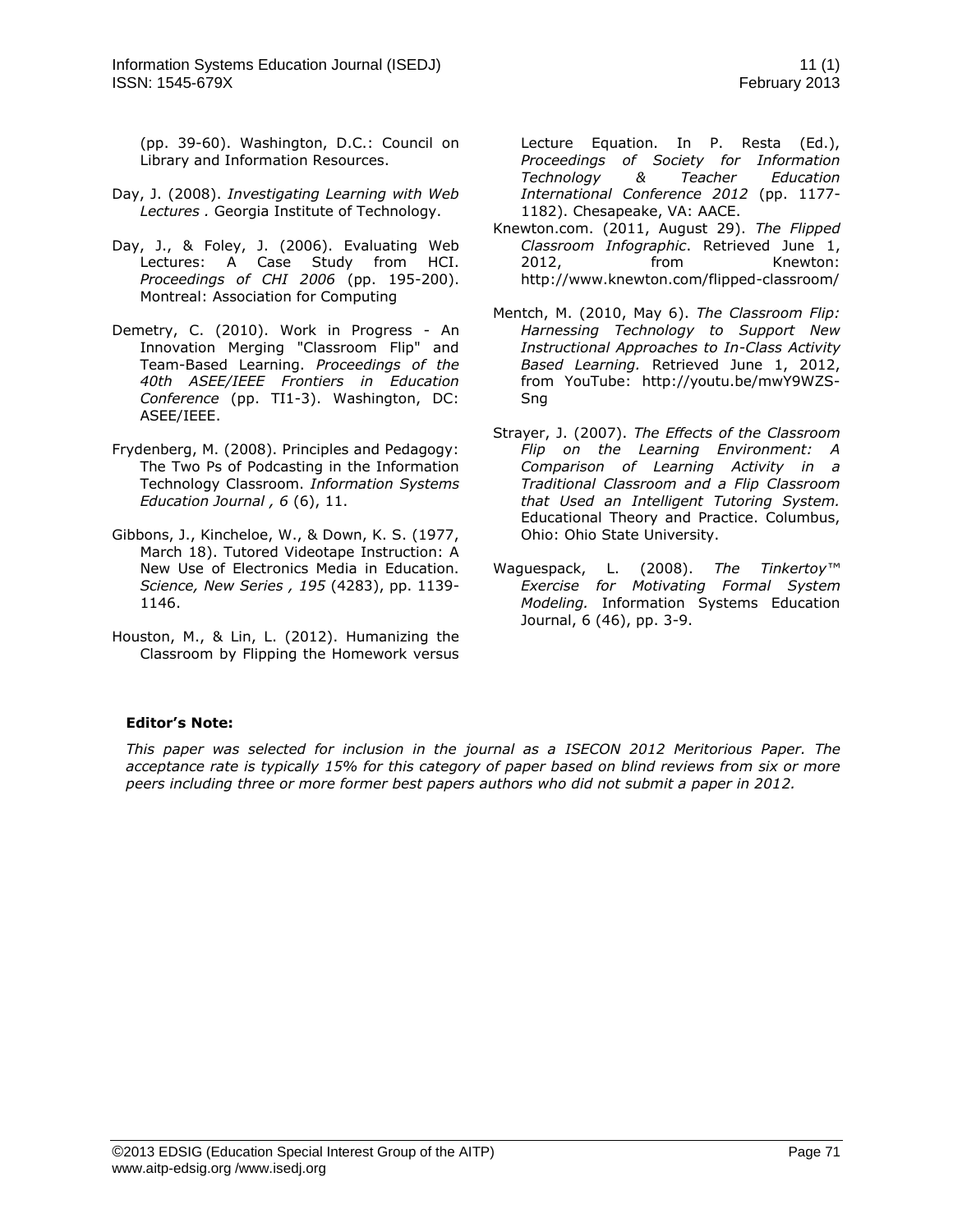(pp. 39-60). Washington, D.C.: Council on Library and Information Resources.

- Day, J. (2008). *Investigating Learning with Web Lectures .* Georgia Institute of Technology.
- Day, J., & Foley, J. (2006). Evaluating Web Lectures: A Case Study from HCI. *Proceedings of CHI 2006* (pp. 195-200). Montreal: Association for Computing
- Demetry, C. (2010). Work in Progress An Innovation Merging "Classroom Flip" and Team-Based Learning. *Proceedings of the 40th ASEE/IEEE Frontiers in Education Conference* (pp. TI1-3). Washington, DC: ASEE/IEEE.
- Frydenberg, M. (2008). Principles and Pedagogy: The Two Ps of Podcasting in the Information Technology Classroom. *Information Systems Education Journal , 6* (6), 11.
- Gibbons, J., Kincheloe, W., & Down, K. S. (1977, March 18). Tutored Videotape Instruction: A New Use of Electronics Media in Education. *Science, New Series , 195* (4283), pp. 1139- 1146.
- Houston, M., & Lin, L. (2012). Humanizing the Classroom by Flipping the Homework versus

Lecture Equation. In P. Resta (Ed.), *Proceedings of Society for Information Technology & Teacher Education International Conference 2012* (pp. 1177- 1182). Chesapeake, VA: AACE.

- Knewton.com. (2011, August 29). *The Flipped Classroom Infographic*. Retrieved June 1, 2012, from Knewton: http://www.knewton.com/flipped-classroom/
- Mentch, M. (2010, May 6). *The Classroom Flip: Harnessing Technology to Support New Instructional Approaches to In-Class Activity Based Learning.* Retrieved June 1, 2012, from YouTube: http://youtu.be/mwY9WZS-Sng
- Strayer, J. (2007). *The Effects of the Classroom Flip on the Learning Environment: A Comparison of Learning Activity in a Traditional Classroom and a Flip Classroom that Used an Intelligent Tutoring System.* Educational Theory and Practice. Columbus, Ohio: Ohio State University.
- Waguespack, L. (2008). *The Tinkertoy™ Exercise for Motivating Formal System Modeling.* Information Systems Education Journal, 6 (46), pp. 3-9.

# **Editor's Note:**

*This paper was selected for inclusion in the journal as a ISECON 2012 Meritorious Paper. The acceptance rate is typically 15% for this category of paper based on blind reviews from six or more peers including three or more former best papers authors who did not submit a paper in 2012.*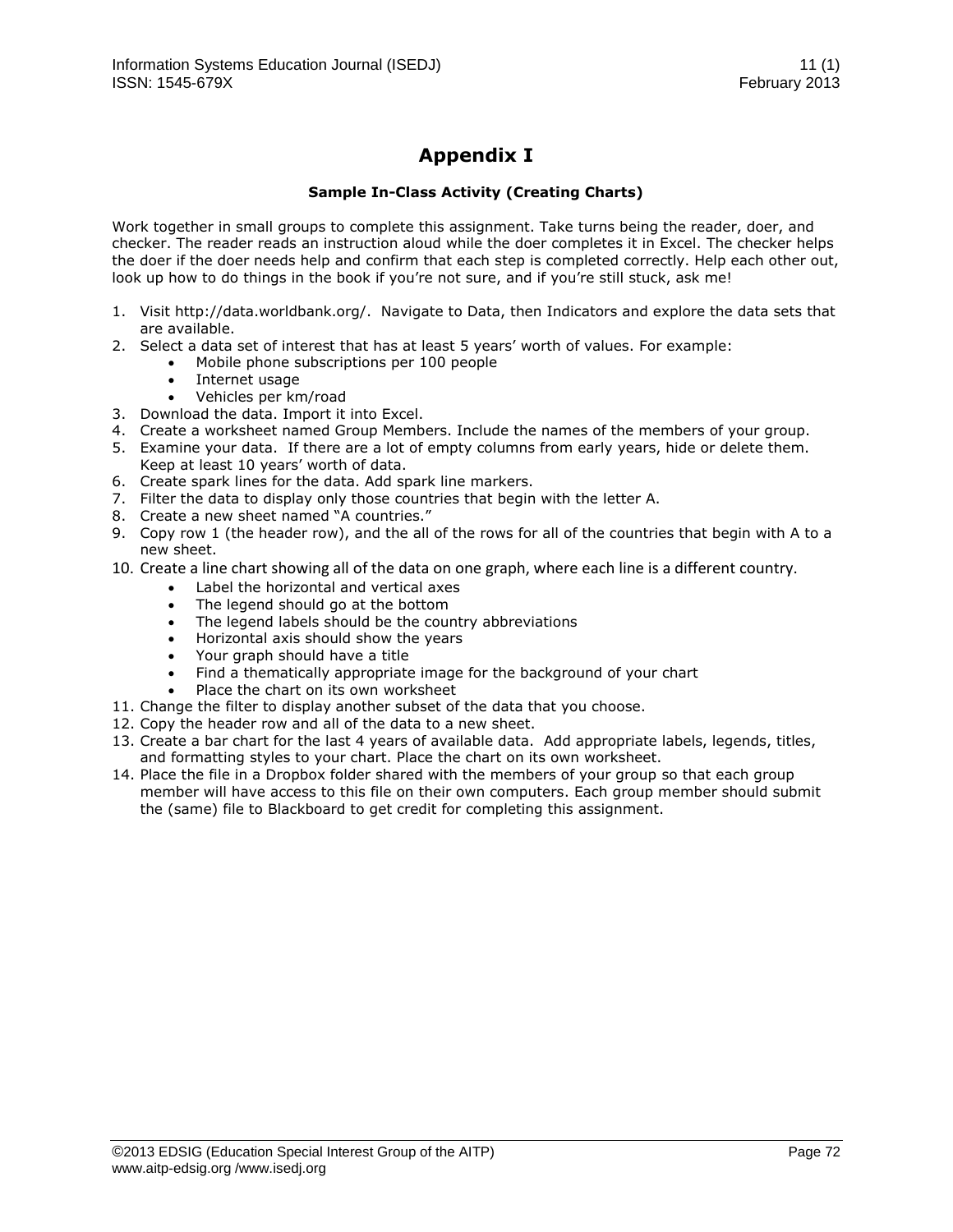# **Appendix I**

## **Sample In-Class Activity (Creating Charts)**

Work together in small groups to complete this assignment. Take turns being the reader, doer, and checker. The reader reads an instruction aloud while the doer completes it in Excel. The checker helps the doer if the doer needs help and confirm that each step is completed correctly. Help each other out, look up how to do things in the book if you're not sure, and if you're still stuck, ask me!

- 1. Visit http://data.worldbank.org/. Navigate to Data, then Indicators and explore the data sets that are available.
- 2. Select a data set of interest that has at least 5 years' worth of values. For example:
	- Mobile phone subscriptions per 100 people
	- Internet usage
	- Vehicles per km/road
- 3. Download the data. Import it into Excel.
- 4. Create a worksheet named Group Members. Include the names of the members of your group.
- 5. Examine your data. If there are a lot of empty columns from early years, hide or delete them. Keep at least 10 years' worth of data.
- 6. Create spark lines for the data. Add spark line markers.
- 7. Filter the data to display only those countries that begin with the letter A.
- 8. Create a new sheet named "A countries."
- 9. Copy row 1 (the header row), and the all of the rows for all of the countries that begin with A to a new sheet.
- 10. Create a line chart showing all of the data on one graph, where each line is a different country.
	- Label the horizontal and vertical axes
	- The legend should go at the bottom
	- The legend labels should be the country abbreviations
	- Horizontal axis should show the years
	- Your graph should have a title
	- Find a thematically appropriate image for the background of your chart
		- Place the chart on its own worksheet
- 11. Change the filter to display another subset of the data that you choose.
- 12. Copy the header row and all of the data to a new sheet.
- 13. Create a bar chart for the last 4 years of available data. Add appropriate labels, legends, titles, and formatting styles to your chart. Place the chart on its own worksheet.
- 14. Place the file in a Dropbox folder shared with the members of your group so that each group member will have access to this file on their own computers. Each group member should submit the (same) file to Blackboard to get credit for completing this assignment.